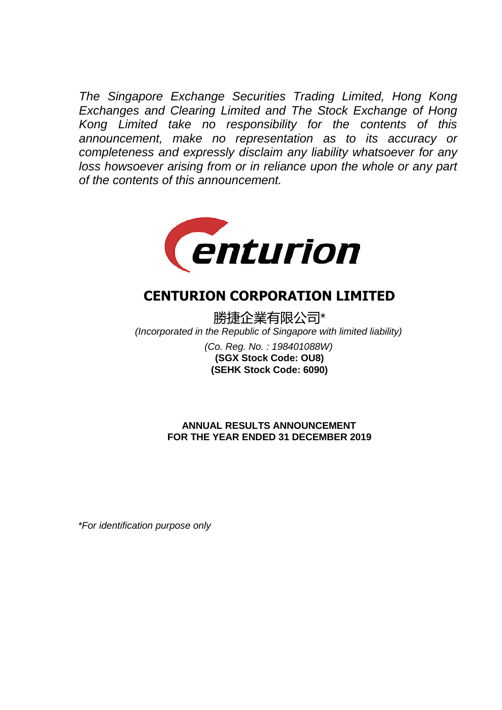*The Singapore Exchange Securities Trading Limited, Hong Kong Exchanges and Clearing Limited and The Stock Exchange of Hong Kong Limited take no responsibility for the contents of this announcement, make no representation as to its accuracy or completeness and expressly disclaim any liability whatsoever for any loss howsoever arising from or in reliance upon the whole or any part of the contents of this announcement.*



# **CENTURION CORPORATION LIMITED**

勝捷企業有限公司\* *(Incorporated in the Republic of Singapore with limited liability) (Co. Reg. No. : 198401088W)*

**(SEHK Stock Code: 6090) (SGX Stock Code: OU8)**

**FOR THE YEAR ENDED 31 DECEMBER 2019 ANNUAL RESULTS ANNOUNCEMENT**

*\*For identification purpose only*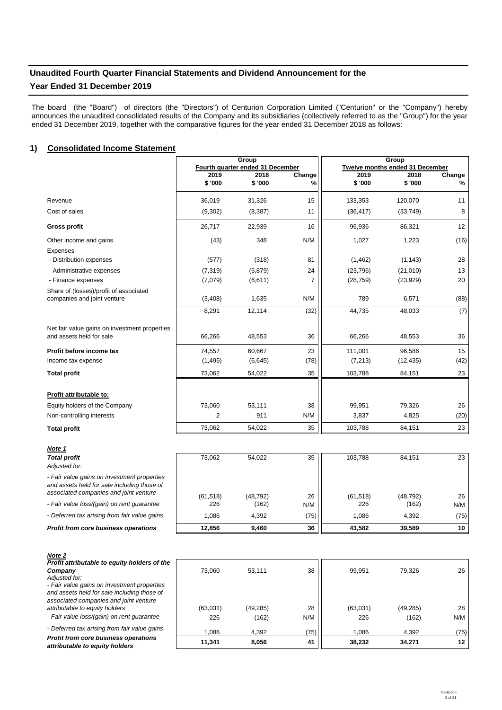# **Unaudited Fourth Quarter Financial Statements and Dividend Announcement for the**

# **Year Ended 31 December 2019**

The board (the "Board") of directors (the "Directors") of Centurion Corporation Limited ("Centurion" or the "Company") hereby announces the unaudited consolidated results of the Company and its subsidiaries (collectively referred to as the "Group") for the year ended 31 December 2019, together with the comparative figures for the year ended 31 December 2018 as follows:

# 1) Consolidated Income Statement Construction of the Consolidated Income Statement

|                                               |                | Group                            |               |                                 | Group     |        |  |
|-----------------------------------------------|----------------|----------------------------------|---------------|---------------------------------|-----------|--------|--|
|                                               |                | Fourth quarter ended 31 December |               | Twelve months ended 31 December |           |        |  |
|                                               | 2019           | 2018                             | Change        | 2019                            | 2018      | Change |  |
|                                               | \$'000         | \$'000                           | $\frac{9}{6}$ | \$'000                          | \$ '000   | %      |  |
| Revenue                                       | 36.019         | 31,326                           | 15            | 133,353                         | 120.070   | 11     |  |
| Cost of sales                                 | (9,302)        | (8,387)                          | 11            | (36, 417)                       | (33,749)  | 8      |  |
| <b>Gross profit</b>                           | 26,717         | 22,939                           | 16            | 96,936                          | 86,321    | 12     |  |
| Other income and gains                        | (43)           | 348                              | N/M           | 1,027                           | 1,223     | (16)   |  |
| Expenses                                      |                |                                  |               |                                 |           |        |  |
| - Distribution expenses                       | (577)          | (318)                            | 81            | (1, 462)                        | (1, 143)  | 28     |  |
| - Administrative expenses                     | (7, 319)       | (5,879)                          | 24            | (23, 796)                       | (21,010)  | 13     |  |
| - Finance expenses                            | (7,079)        | (6,611)                          | 7             | (28, 759)                       | (23, 929) | 20     |  |
| Share of (losses)/profit of associated        |                |                                  |               |                                 |           |        |  |
| companies and joint venture                   | (3,408)        | 1,635                            | N/M           | 789                             | 6,571     | (88)   |  |
|                                               | 8,291          | 12,114                           | (32)          | 44,735                          | 48,033    | (7)    |  |
| Net fair value gains on investment properties |                |                                  |               |                                 |           |        |  |
| and assets held for sale                      | 66,266         | 48,553                           | 36            | 66,266                          | 48,553    | 36     |  |
| Profit before income tax                      | 74,557         | 60,667                           | 23            | 111,001                         | 96,586    | 15     |  |
| Income tax expense                            | (1, 495)       | (6, 645)                         | (78)          | (7, 213)                        | (12, 435) | (42)   |  |
| <b>Total profit</b>                           | 73,062         | 54,022                           | 35            | 103,788                         | 84,151    | 23     |  |
|                                               |                |                                  |               |                                 |           |        |  |
| Profit attributable to:                       |                |                                  |               |                                 |           |        |  |
| Equity holders of the Company                 | 73,060         | 53,111                           | 38            | 99,951                          | 79.326    | 26     |  |
| Non-controlling interests                     | $\overline{2}$ | 911                              | N/M           | 3,837                           | 4,825     | (20)   |  |
| <b>Total profit</b>                           | 73,062         | 54,022                           | 35            | 103,788                         | 84,151    | 23     |  |
|                                               |                |                                  |               |                                 |           |        |  |

| <b>Total profit</b><br>Adjusted for:                                                                                                 | 73.062    | 54.022    | 35   | 103.788   | 84.151    | 23   |
|--------------------------------------------------------------------------------------------------------------------------------------|-----------|-----------|------|-----------|-----------|------|
| - Fair value gains on investment properties<br>and assets held for sale including those of<br>associated companies and joint venture | (61, 518) | (48, 792) | 26   | (61, 518) | (48, 792) | 26   |
| - Fair value loss/(gain) on rent guarantee                                                                                           | 226       | (162)     | N/M  | 226       | (162)     | N/M  |
| - Deferred tax arising from fair value gains                                                                                         | 1.086     | 4.392     | (75) | 1.086     | 4.392     | (75) |
| Profit from core business operations                                                                                                 | 12.856    | 9.460     | 36   | 43.582    | 39.589    | 10   |

| 110W-L<br>Profit attributable to equity holders of the |  |
|--------------------------------------------------------|--|
| Company                                                |  |

*Adjusted for:*

*Note 2*

*Note 1*

*- Fair value gains on investment properties and assets held for sale including those of associated companies and joint venture attributable to equity holders*

- Fair value loss/(gain) on rent guarantee

*- Deferred tax arising from fair value gains*

*Profit from core business operations attributable to equity holders*

| 'nе | 73,060   | 53,111    | 38   | 99,951   | 79,326    | 26   |
|-----|----------|-----------|------|----------|-----------|------|
|     |          |           |      |          |           |      |
|     |          |           |      |          |           |      |
|     | (63,031) | (49, 285) | 28   | (63,031) | (49, 285) | 28   |
|     | 226      | (162)     | N/M  | 226      | (162)     | N/M  |
|     | 1,086    | 4,392     | (75) | 1,086    | 4,392     | (75) |
|     | 11,341   | 8,056     | 41   | 38,232   | 34,271    | 12   |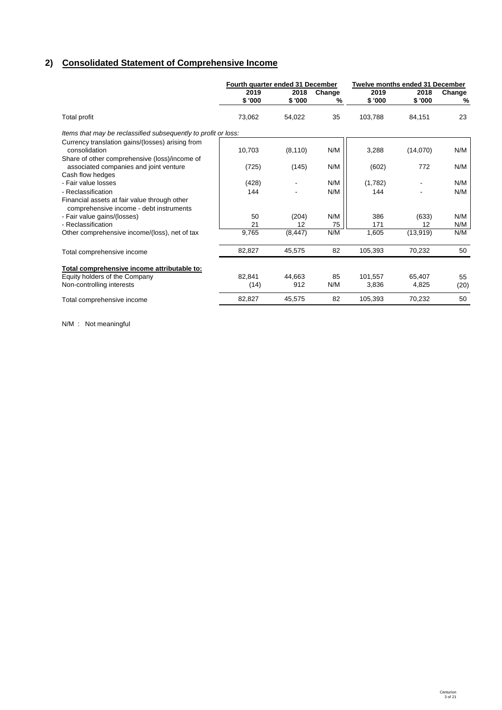# **2) Consolidated Statement of Comprehensive Income**

|                                                                                                             |         | Fourth quarter ended 31 December<br>Twelve months ended 31 December |        |         |           |        |
|-------------------------------------------------------------------------------------------------------------|---------|---------------------------------------------------------------------|--------|---------|-----------|--------|
|                                                                                                             | 2019    | 2018                                                                | Change | 2019    | 2018      | Change |
|                                                                                                             | \$ '000 | \$'000                                                              | %      | \$'000  | \$'000    | %      |
| Total profit                                                                                                | 73,062  | 54,022                                                              | 35     | 103,788 | 84,151    | 23     |
| Items that may be reclassified subsequently to profit or loss:                                              |         |                                                                     |        |         |           |        |
| Currency translation gains/(losses) arising from<br>consolidation                                           | 10,703  | (8, 110)                                                            | N/M    | 3,288   | (14,070)  | N/M    |
| Share of other comprehensive (loss)/income of<br>associated companies and joint venture<br>Cash flow hedges | (725)   | (145)                                                               | N/M    | (602)   | 772       | N/M    |
| - Fair value losses                                                                                         | (428)   |                                                                     | N/M    | (1,782) |           | N/M    |
| - Reclassification                                                                                          | 144     |                                                                     | N/M    | 144     |           | N/M    |
| Financial assets at fair value through other<br>comprehensive income - debt instruments                     |         |                                                                     |        |         |           |        |
| - Fair value gains/(losses)                                                                                 | 50      | (204)                                                               | N/M    | 386     | (633)     | N/M    |
| - Reclassification                                                                                          | 21      | 12                                                                  | 75     | 171     | 12        | N/M    |
| Other comprehensive income/(loss), net of tax                                                               | 9,765   | (8, 447)                                                            | N/M    | 1,605   | (13, 919) | N/M    |
| Total comprehensive income                                                                                  | 82,827  | 45,575                                                              | 82     | 105,393 | 70,232    | 50     |
| Total comprehensive income attributable to:                                                                 |         |                                                                     |        |         |           |        |
| Equity holders of the Company                                                                               | 82,841  | 44.663                                                              | 85     | 101.557 | 65,407    | 55     |
| Non-controlling interests                                                                                   | (14)    | 912                                                                 | N/M    | 3,836   | 4,825     | (20)   |
| Total comprehensive income                                                                                  | 82,827  | 45,575                                                              | 82     | 105,393 | 70,232    | 50     |

N/M : Not meaningful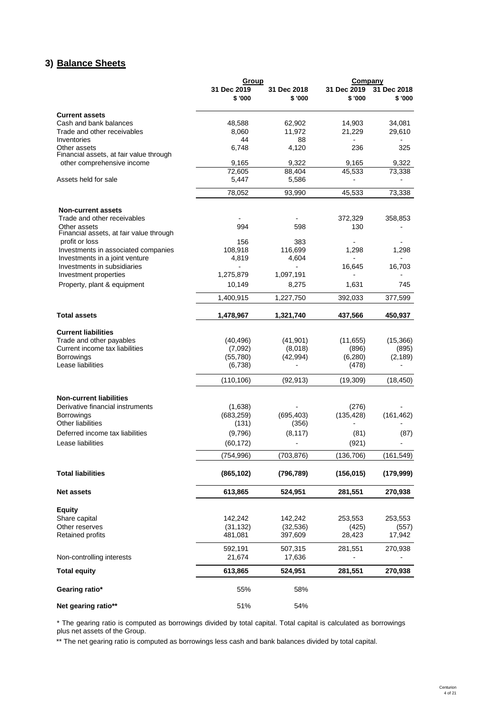# **3) Balance Sheets Balance Sheet**

|                                                         | Group                  |                        | Company                |                        |
|---------------------------------------------------------|------------------------|------------------------|------------------------|------------------------|
|                                                         | 31 Dec 2019<br>\$ '000 | 31 Dec 2018<br>\$ '000 | 31 Dec 2019<br>\$ '000 | 31 Dec 2018<br>\$ '000 |
| <b>Current assets</b>                                   |                        |                        |                        |                        |
| Cash and bank balances                                  | 48,588                 | 62,902                 | 14,903                 | 34,081                 |
| Trade and other receivables                             | 8,060                  | 11,972                 | 21,229                 | 29,610                 |
| Inventories                                             | 44                     | 88                     |                        |                        |
| Other assets<br>Financial assets, at fair value through | 6,748                  | 4,120                  | 236                    | 325                    |
| other comprehensive income                              | 9,165                  | 9,322                  | 9,165                  | 9,322                  |
|                                                         | 72,605                 | 88,404                 | 45,533                 | 73,338                 |
| Assets held for sale                                    | 5,447                  | 5,586                  |                        |                        |
|                                                         | 78,052                 | 93,990                 | 45,533                 | 73,338                 |
| <b>Non-current assets</b>                               |                        |                        |                        |                        |
| Trade and other receivables                             |                        |                        | 372,329                | 358,853                |
| Other assets<br>Financial assets, at fair value through | 994                    | 598                    | 130                    |                        |
| profit or loss                                          | 156                    | 383                    |                        |                        |
| Investments in associated companies                     | 108,918                | 116,699                | 1,298                  | 1,298                  |
| Investments in a joint venture                          | 4,819                  | 4,604                  |                        |                        |
| Investments in subsidiaries                             |                        |                        | 16,645                 | 16,703                 |
| Investment properties                                   | 1,275,879              | 1,097,191              |                        |                        |
| Property, plant & equipment                             | 10,149                 | 8,275                  | 1,631                  | 745                    |
|                                                         | 1,400,915              | 1,227,750              | 392,033                | 377,599                |
| <b>Total assets</b>                                     | 1.478.967              | 1,321,740              | 437,566                | 450,937                |
| <b>Current liabilities</b>                              |                        |                        |                        |                        |
| Trade and other payables                                | (40, 496)              | (41, 901)              | (11, 655)              | (15,366)               |
| Current income tax liabilities                          | (7,092)                | (8,018)                | (896)                  | (895)                  |
| <b>Borrowings</b>                                       | (55,780)               | (42, 994)              | (6,280)                | (2, 189)               |
| Lease liabilities                                       | (6,738)                |                        | (478)                  |                        |
|                                                         | (110, 106)             | (92, 913)              | (19,309)               | (18, 450)              |
| <b>Non-current liabilities</b>                          |                        |                        |                        |                        |
| Derivative financial instruments                        | (1,638)                |                        | (276)                  |                        |
| <b>Borrowings</b>                                       | (683, 259)             | (695, 403)             | (135, 428)             | (161, 462)             |
| Other liabilities                                       | (131)                  | (356)                  |                        |                        |
| Deferred income tax liabilities                         | (9,796)                | (8, 117)               | (81)                   | (87)                   |
| Lease liabilities                                       | (60, 172)              |                        | (921)                  |                        |
|                                                         | (754, 996)             | (703, 876)             | (136, 706)             | (161, 549)             |
| <b>Total liabilities</b>                                | (865, 102)             | (796, 789)             | (156, 015)             | (179, 999)             |
| <b>Net assets</b>                                       | 613,865                | 524,951                | 281,551                | 270,938                |
| <b>Equity</b>                                           |                        |                        |                        |                        |
| Share capital                                           | 142,242                | 142,242                | 253,553                | 253,553                |
| Other reserves                                          | (31, 132)              | (32, 536)              | (425)                  | (557)                  |
| Retained profits                                        | 481,081                | 397,609                | 28,423                 | 17,942                 |
|                                                         | 592,191                | 507,315                | 281,551                | 270,938                |
| Non-controlling interests                               | 21,674                 | 17,636                 |                        |                        |
| <b>Total equity</b>                                     | 613,865                | 524,951                | 281,551                | 270,938                |
| Gearing ratio*                                          | 55%                    | 58%                    |                        |                        |
| Net gearing ratio**                                     | 51%                    | 54%                    |                        |                        |

\* The gearing ratio is computed as borrowings divided by total capital. Total capital is calculated as borrowings plus net assets of the Group.

\*\* The net gearing ratio is computed as borrowings less cash and bank balances divided by total capital.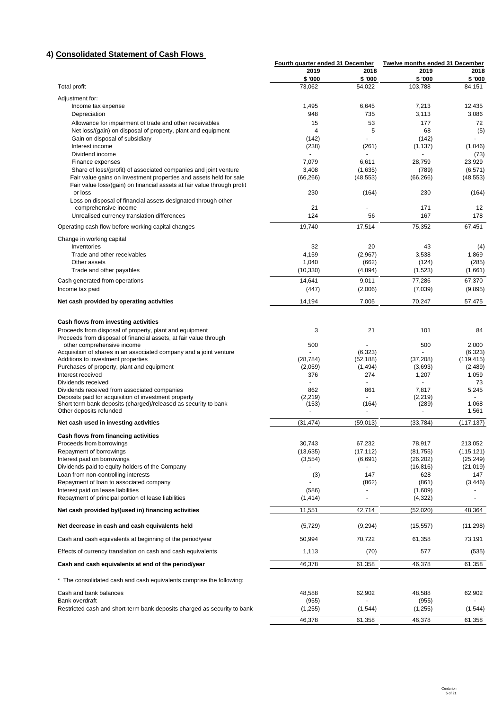# **4) Consolidated Statement of Cash Flows**

|                                                                                                                         | Fourth quarter ended 31 December |                          | Twelve months ended 31 December |                       |
|-------------------------------------------------------------------------------------------------------------------------|----------------------------------|--------------------------|---------------------------------|-----------------------|
|                                                                                                                         | 2019                             | 2018                     | 2019                            | 2018                  |
|                                                                                                                         | \$'000                           | \$'000                   | \$ '000                         | \$'000                |
| <b>Total profit</b>                                                                                                     | 73,062                           | 54,022                   | 103,788                         | 84,151                |
| Adjustment for:                                                                                                         |                                  |                          |                                 |                       |
| Income tax expense                                                                                                      | 1,495                            | 6,645                    | 7,213                           | 12,435                |
| Depreciation                                                                                                            | 948                              | 735                      | 3,113                           | 3,086                 |
| Allowance for impairment of trade and other receivables<br>Net loss/(gain) on disposal of property, plant and equipment | 15<br>4                          | 53<br>5                  | 177<br>68                       | 72<br>(5)             |
| Gain on disposal of subsidiary                                                                                          | (142)                            |                          | (142)                           |                       |
| Interest income                                                                                                         | (238)                            | (261)                    | (1, 137)                        | (1,046)               |
| Dividend income                                                                                                         |                                  | $\overline{\phantom{a}}$ |                                 | (73)                  |
| Finance expenses                                                                                                        | 7,079                            | 6,611                    | 28,759                          | 23,929                |
| Share of loss/(profit) of associated companies and joint venture                                                        | 3,408                            | (1,635)                  | (789)                           | (6, 571)              |
| Fair value gains on investment properties and assets held for sale                                                      | (66, 266)                        | (48, 553)                | (66, 266)                       | (48, 553)             |
| Fair value loss/(gain) on financial assets at fair value through profit<br>or loss                                      | 230                              | (164)                    | 230                             | (164)                 |
| Loss on disposal of financial assets designated through other                                                           |                                  |                          |                                 |                       |
| comprehensive income                                                                                                    | 21                               |                          | 171                             | 12                    |
| Unrealised currency translation differences                                                                             | 124                              | 56                       | 167                             | 178                   |
| Operating cash flow before working capital changes                                                                      | 19,740                           | 17,514                   | 75,352                          | 67,451                |
|                                                                                                                         |                                  |                          |                                 |                       |
| Change in working capital                                                                                               |                                  |                          |                                 |                       |
| Inventories<br>Trade and other receivables                                                                              | 32<br>4,159                      | 20<br>(2,967)            | 43<br>3,538                     | (4)<br>1,869          |
| Other assets                                                                                                            | 1,040                            | (662)                    | (124)                           | (285)                 |
| Trade and other payables                                                                                                | (10, 330)                        | (4,894)                  | (1,523)                         | (1,661)               |
| Cash generated from operations                                                                                          | 14,641                           | 9,011                    | 77,286                          | 67,370                |
| Income tax paid                                                                                                         | (447)                            | (2,006)                  | (7,039)                         | (9,895)               |
|                                                                                                                         |                                  |                          |                                 |                       |
| Net cash provided by operating activities                                                                               | 14,194                           | 7,005                    | 70,247                          | 57,475                |
|                                                                                                                         |                                  |                          |                                 |                       |
| Cash flows from investing activities                                                                                    |                                  |                          |                                 |                       |
| Proceeds from disposal of property, plant and equipment                                                                 | 3                                | 21                       | 101                             | 84                    |
| Proceeds from disposal of financial assets, at fair value through                                                       |                                  |                          |                                 |                       |
| other comprehensive income                                                                                              | 500                              |                          | 500                             | 2.000                 |
| Acquisition of shares in an associated company and a joint venture<br>Additions to investment properties                | (28, 784)                        | (6,323)<br>(52, 188)     | (37,208)                        | (6,323)<br>(119, 415) |
| Purchases of property, plant and equipment                                                                              | (2,059)                          | (1,494)                  | (3,693)                         | (2,489)               |
| Interest received                                                                                                       | 376                              | 274                      | 1,207                           | 1,059                 |
| Dividends received                                                                                                      |                                  |                          |                                 | 73                    |
| Dividends received from associated companies                                                                            | 862                              | 861                      | 7,817                           | 5,245                 |
| Deposits paid for acquisition of investment property<br>Short term bank deposits (charged)/released as security to bank | (2, 219)<br>(153)                | (164)                    | (2, 219)<br>(289)               | 1,068                 |
| Other deposits refunded                                                                                                 |                                  |                          |                                 | 1,561                 |
|                                                                                                                         |                                  |                          |                                 |                       |
| Net cash used in investing activities                                                                                   | (31, 474)                        | (59,013)                 | (33, 784)                       | (117, 137)            |
| Cash flows from financing activities                                                                                    |                                  |                          |                                 |                       |
| Proceeds from borrowings                                                                                                | 30,743                           | 67,232                   | 78,917                          | 213,052               |
| Repayment of borrowings                                                                                                 | (13, 635)                        | (17, 112)                | (81, 755)                       | (115, 121)            |
| Interest paid on borrowings                                                                                             | (3, 554)                         | (6,691)                  | (26, 202)                       | (25, 249)             |
| Dividends paid to equity holders of the Company<br>Loan from non-controlling interests                                  |                                  | 147                      | (16, 816)<br>628                | (21, 019)<br>147      |
| Repayment of loan to associated company                                                                                 | (3)                              | (862)                    | (861)                           | (3, 446)              |
| Interest paid on lease liabilities                                                                                      | (586)                            |                          | (1,609)                         |                       |
| Repayment of principal portion of lease liabilities                                                                     | (1, 414)                         |                          | (4, 322)                        | $\overline{a}$        |
| Net cash provided by/(used in) financing activities                                                                     | 11,551                           | 42,714                   | (52,020)                        | 48,364                |
| Net decrease in cash and cash equivalents held                                                                          | (5, 729)                         | (9,294)                  | (15, 557)                       | (11, 298)             |
| Cash and cash equivalents at beginning of the period/year                                                               |                                  |                          |                                 |                       |
| Effects of currency translation on cash and cash equivalents                                                            | 50,994<br>1,113                  | 70,722                   | 61,358                          | 73,191                |
|                                                                                                                         |                                  | (70)                     | 577                             | (535)                 |
| Cash and cash equivalents at end of the period/year                                                                     | 46,378                           | 61,358                   | 46,378                          | 61,358                |
| * The consolidated cash and cash equivalents comprise the following:                                                    |                                  |                          |                                 |                       |
| Cash and bank balances                                                                                                  | 48,588                           | 62,902                   | 48,588                          | 62,902                |
| Bank overdraft                                                                                                          | (955)                            |                          | (955)                           |                       |
| Restricted cash and short-term bank deposits charged as security to bank                                                | (1,255)                          | (1, 544)                 | (1,255)                         | (1, 544)              |
|                                                                                                                         | 46,378                           | 61,358                   | 46,378                          | 61,358                |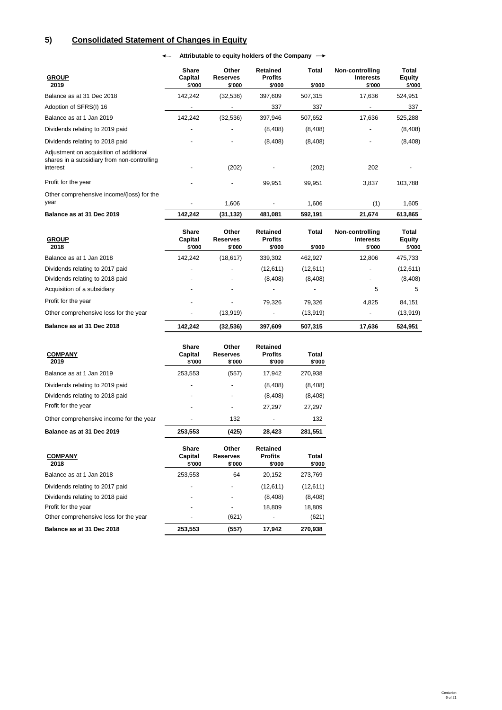# **5) Consolidated Statement of Changes in Equity**

← Attributable to equity holders of the Company →

| <b>GROUP</b><br>2019                                                                               | <b>Share</b><br>Capital<br>\$'000 | Other<br><b>Reserves</b><br>\$'000 | <b>Retained</b><br><b>Profits</b><br>\$'000 | Total<br>\$'000 | Non-controlling<br><b>Interests</b><br>\$'000 | Total<br><b>Equity</b><br>\$'000 |
|----------------------------------------------------------------------------------------------------|-----------------------------------|------------------------------------|---------------------------------------------|-----------------|-----------------------------------------------|----------------------------------|
| Balance as at 31 Dec 2018                                                                          | 142,242                           | (32, 536)                          | 397,609                                     | 507,315         | 17,636                                        | 524,951                          |
| Adoption of SFRS(I) 16                                                                             |                                   |                                    | 337                                         | 337             | -                                             | 337                              |
| Balance as at 1 Jan 2019                                                                           | 142,242                           | (32, 536)                          | 397,946                                     | 507,652         | 17,636                                        | 525,288                          |
| Dividends relating to 2019 paid                                                                    |                                   |                                    | (8, 408)                                    | (8, 408)        |                                               | (8,408)                          |
| Dividends relating to 2018 paid                                                                    |                                   |                                    | (8, 408)                                    | (8, 408)        | -                                             | (8,408)                          |
| Adjustment on acquisition of additional<br>shares in a subsidiary from non-controlling<br>interest |                                   | (202)                              |                                             | (202)           | 202                                           |                                  |
| Profit for the year                                                                                |                                   |                                    | 99,951                                      | 99,951          | 3,837                                         | 103,788                          |
| Other comprehensive income/(loss) for the<br>year                                                  |                                   | 1,606                              |                                             | 1,606           | (1)                                           | 1,605                            |
| Balance as at 31 Dec 2019                                                                          | 142,242                           | (31, 132)                          | 481,081                                     | 592,191         | 21,674                                        | 613,865                          |
|                                                                                                    |                                   |                                    |                                             |                 |                                               |                                  |

| <b>GROUP</b><br>2018                  | <b>Share</b><br>Capital<br>\$'000 | Other<br><b>Reserves</b><br>\$'000 | <b>Retained</b><br><b>Profits</b><br>\$'000 | Total<br>\$'000 | Non-controlling<br><b>Interests</b><br>\$'000 | Total<br>Equity<br>\$'000 |
|---------------------------------------|-----------------------------------|------------------------------------|---------------------------------------------|-----------------|-----------------------------------------------|---------------------------|
| Balance as at 1 Jan 2018              | 142.242                           | (18, 617)                          | 339,302                                     | 462.927         | 12.806                                        | 475,733                   |
| Dividends relating to 2017 paid       |                                   |                                    | (12,611)                                    | (12,611)        | $\overline{\phantom{a}}$                      | (12,611)                  |
| Dividends relating to 2018 paid       |                                   | ٠                                  | (8,408)                                     | (8,408)         | $\overline{\phantom{a}}$                      | (8,408)                   |
| Acquisition of a subsidiary           |                                   |                                    |                                             |                 | 5                                             | 5                         |
| Profit for the year                   |                                   |                                    | 79.326                                      | 79.326          | 4.825                                         | 84,151                    |
| Other comprehensive loss for the year |                                   | (13,919)                           | $\overline{\phantom{0}}$                    | (13,919)        | $\overline{\phantom{a}}$                      | (13,919)                  |
| Balance as at 31 Dec 2018             | 142.242                           | (32, 536)                          | 397,609                                     | 507,315         | 17,636                                        | 524,951                   |

| <b>COMPANY</b><br>2019                  | Share<br>Capital<br>\$'000 | Other<br><b>Reserves</b><br>\$'000 | <b>Retained</b><br><b>Profits</b><br>\$'000 | Total<br>\$'000 |
|-----------------------------------------|----------------------------|------------------------------------|---------------------------------------------|-----------------|
| Balance as at 1 Jan 2019                | 253,553                    | (557)                              | 17,942                                      | 270,938         |
| Dividends relating to 2019 paid         |                            |                                    | (8,408)                                     | (8,408)         |
| Dividends relating to 2018 paid         |                            |                                    | (8,408)                                     | (8, 408)        |
| Profit for the year                     |                            |                                    | 27,297                                      | 27,297          |
| Other comprehensive income for the year |                            | 132                                |                                             | 132             |
| Balance as at 31 Dec 2019               | 253,553                    | (425)                              | 28,423                                      | 281,551         |
| <b>COMPANY</b>                          | Share<br>Capital           | Other                              | <b>Retained</b>                             | Total           |
| 2018                                    | \$'000                     | <b>Reserves</b><br>\$'000          | <b>Profits</b><br>\$'000                    | \$'000          |
| Balance as at 1 Jan 2018                | 253,553                    | 64                                 | 20,152                                      | 273,769         |
| Dividends relating to 2017 paid         |                            |                                    | (12,611)                                    | (12, 611)       |
| Dividends relating to 2018 paid         |                            |                                    | (8,408)                                     | (8,408)         |
| Profit for the year                     |                            |                                    | 18,809                                      | 18,809          |
| Other comprehensive loss for the year   |                            | (621)                              |                                             | (621)           |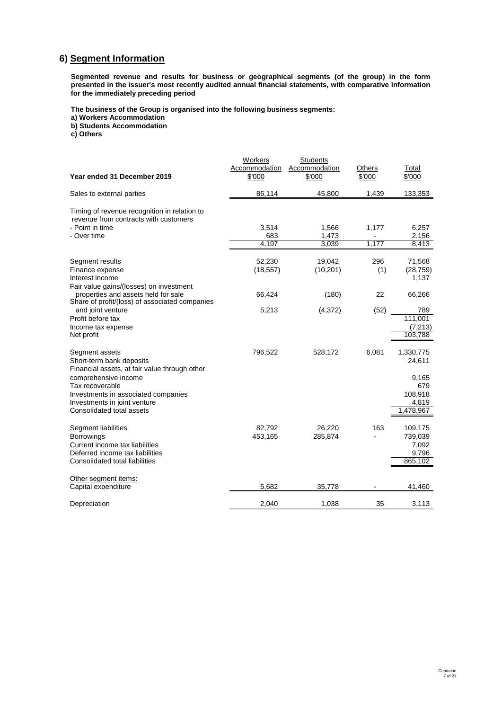# **6) Segment Information**

**Segmented revenue and results for business or geographical segments (of the group) in the form presented in the issuer's most recently audited annual financial statements, with comparative information for the immediately preceding period**

**The business of the Group is organised into the following business segments:**

**a) Workers Accommodation**

**b) Students Accommodation**

**c) Others**

| Year ended 31 December 2019                                                                                                                                                                                                                | Workers<br>Accommodation<br>\$'000 | <b>Students</b><br>Accommodation<br>\$'000 | <b>Others</b><br>\$'000 | Total<br>\$'000                                                      |
|--------------------------------------------------------------------------------------------------------------------------------------------------------------------------------------------------------------------------------------------|------------------------------------|--------------------------------------------|-------------------------|----------------------------------------------------------------------|
| Sales to external parties                                                                                                                                                                                                                  | 86,114                             | 45,800                                     | 1,439                   | 133,353                                                              |
| Timing of revenue recognition in relation to<br>revenue from contracts with customers<br>- Point in time<br>- Over time                                                                                                                    | 3,514<br>683<br>4.197              | 1,566<br>1,473<br>3.039                    | 1,177<br>1,177          | 6,257<br>2,156<br>8.413                                              |
| Segment results<br>Finance expense<br>Interest income<br>Fair value gains/(losses) on investment                                                                                                                                           | 52,230<br>(18, 557)                | 19,042<br>(10, 201)                        | 296<br>(1)              | 71,568<br>(28, 759)<br>1,137                                         |
| properties and assets held for sale<br>Share of profit/(loss) of associated companies                                                                                                                                                      | 66,424                             | (180)                                      | 22                      | 66,266                                                               |
| and joint venture<br>Profit before tax<br>Income tax expense<br>Net profit                                                                                                                                                                 | 5,213                              | (4,372)                                    | (52)                    | 789<br>111,001<br>(7, 213)<br>103,788                                |
| Segment assets<br>Short-term bank deposits<br>Financial assets, at fair value through other<br>comprehensive income<br>Tax recoverable<br>Investments in associated companies<br>Investments in joint venture<br>Consolidated total assets | 796,522                            | 528,172                                    | 6,081                   | 1,330,775<br>24,611<br>9,165<br>679<br>108,918<br>4,819<br>1,478,967 |
| Segment liabilities<br><b>Borrowings</b><br>Current income tax liabilities<br>Deferred income tax liabilities<br>Consolidated total liabilities                                                                                            | 82,792<br>453,165                  | 26,220<br>285,874                          | 163                     | 109,175<br>739,039<br>7,092<br>9,796<br>865,102                      |
| Other segment items:<br>Capital expenditure                                                                                                                                                                                                | 5,682                              | 35,778                                     |                         | 41,460                                                               |
| Depreciation                                                                                                                                                                                                                               | 2,040                              | 1,038                                      | 35                      | 3,113                                                                |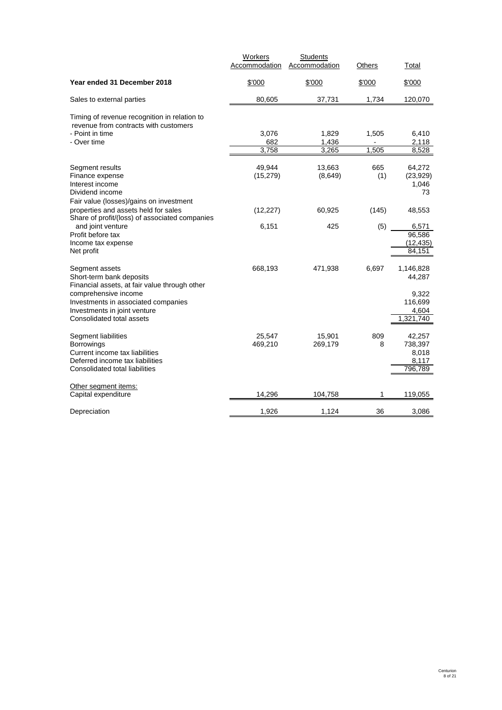|                                                                                       | Workers       | <b>Students</b> |        |                     |
|---------------------------------------------------------------------------------------|---------------|-----------------|--------|---------------------|
|                                                                                       | Accommodation | Accommodation   | Others | Total               |
| Year ended 31 December 2018                                                           | \$'000        | \$'000          | \$'000 | \$'000              |
| Sales to external parties                                                             | 80,605        | 37,731          | 1,734  | 120,070             |
| Timing of revenue recognition in relation to<br>revenue from contracts with customers |               |                 |        |                     |
| - Point in time                                                                       | 3,076         | 1,829           | 1,505  | 6,410               |
| - Over time                                                                           | 682           | 1,436           |        | 2,118               |
|                                                                                       | 3,758         | 3,265           | 1,505  | 8,528               |
| Segment results                                                                       | 49,944        | 13,663          | 665    | 64,272              |
| Finance expense                                                                       | (15, 279)     | (8,649)         | (1)    | (23, 929)           |
| Interest income                                                                       |               |                 |        | 1,046               |
| Dividend income                                                                       |               |                 |        | 73                  |
| Fair value (losses)/gains on investment                                               |               |                 |        |                     |
| properties and assets held for sales                                                  | (12, 227)     | 60,925          | (145)  | 48,553              |
| Share of profit/(loss) of associated companies                                        |               |                 |        |                     |
| and joint venture                                                                     | 6,151         | 425             | (5)    | 6.571               |
| Profit before tax<br>Income tax expense                                               |               |                 |        | 96,586<br>(12, 435) |
| Net profit                                                                            |               |                 |        | 84,151              |
|                                                                                       |               |                 |        |                     |
| Segment assets                                                                        | 668,193       | 471,938         | 6,697  | 1,146,828           |
| Short-term bank deposits                                                              |               |                 |        | 44,287              |
| Financial assets, at fair value through other                                         |               |                 |        |                     |
| comprehensive income                                                                  |               |                 |        | 9,322               |
| Investments in associated companies                                                   |               |                 |        | 116,699             |
| Investments in joint venture<br>Consolidated total assets                             |               |                 |        | 4,604<br>1,321,740  |
|                                                                                       |               |                 |        |                     |
| Segment liabilities                                                                   | 25,547        | 15,901          | 809    | 42,257              |
| <b>Borrowings</b>                                                                     | 469,210       | 269,179         | 8      | 738,397             |
| Current income tax liabilities                                                        |               |                 |        | 8,018               |
| Deferred income tax liabilities                                                       |               |                 |        | 8,117               |
| Consolidated total liabilities                                                        |               |                 |        | 796,789             |
| Other segment items:                                                                  |               |                 |        |                     |
| Capital expenditure                                                                   | 14,296        | 104,758         | 1      | 119,055             |
| Depreciation                                                                          | 1,926         | 1,124           | 36     | 3,086               |
|                                                                                       |               |                 |        |                     |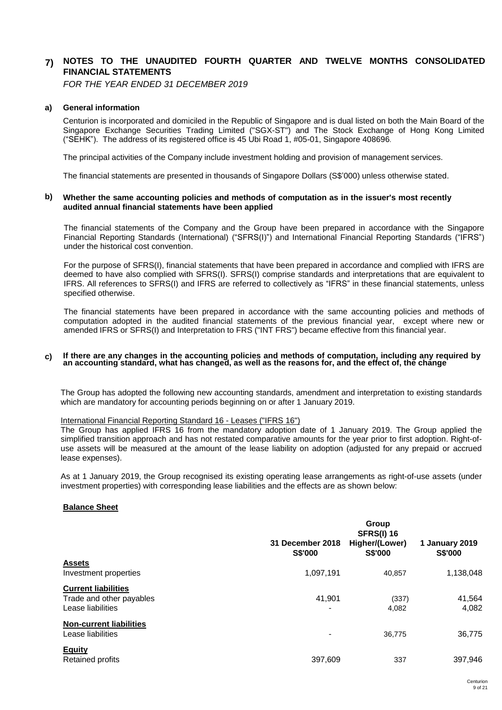#### **7) NOTES TO THE UNAUDITED FOURTH QUARTER AND TWELVE MONTHS CONSOLIDATED FINANCIAL STATEMENTS**

*FOR THE YEAR ENDED 31 DECEMBER 2019*

# **a) General information**

Centurion is incorporated and domiciled in the Republic of Singapore and is dual listed on both the Main Board of the Singapore Exchange Securities Trading Limited ("SGX-ST") and The Stock Exchange of Hong Kong Limited ("SEHK"). The address of its registered office is 45 Ubi Road 1, #05-01, Singapore 408696.

The principal activities of the Company include investment holding and provision of management services.

The financial statements are presented in thousands of Singapore Dollars (S\$'000) unless otherwise stated.

#### **b) Whether the same accounting policies and methods of computation as in the issuer's most recently audited annual financial statements have been applied**

The financial statements of the Company and the Group have been prepared in accordance with the Singapore Financial Reporting Standards (International) ("SFRS(I)") and International Financial Reporting Standards ("IFRS") under the historical cost convention.

For the purpose of SFRS(I), financial statements that have been prepared in accordance and complied with IFRS are deemed to have also complied with SFRS(I). SFRS(I) comprise standards and interpretations that are equivalent to IFRS. All references to SFRS(I) and IFRS are referred to collectively as "IFRS" in these financial statements, unless specified otherwise.

The financial statements have been prepared in accordance with the same accounting policies and methods of computation adopted in the audited financial statements of the previous financial year, except where new or amended IFRS or SFRS(I) and Interpretation to FRS ("INT FRS") became effective from this financial year.

#### **c) If there are any changes in the accounting policies and methods of computation, including any required by** an accounting standard, what has changed, as well as the reasons for, and the effect of, the change

The Group has adopted the following new accounting standards, amendment and interpretation to existing standards which are mandatory for accounting periods beginning on or after 1 January 2019.

# International Financial Reporting Standard 16 - Leases ("IFRS 16")

The Group has applied IFRS 16 from the mandatory adoption date of 1 January 2019. The Group applied the simplified transition approach and has not restated comparative amounts for the year prior to first adoption. Right-ofuse assets will be measured at the amount of the lease liability on adoption (adjusted for any prepaid or accrued lease expenses).

As at 1 January 2019, the Group recognised its existing operating lease arrangements as right-of-use assets (under investment properties) with corresponding lease liabilities and the effects are as shown below:

# **Balance Sheet**

|                                |                                    | Group<br><b>SFRS(I) 16</b>       |                                  |
|--------------------------------|------------------------------------|----------------------------------|----------------------------------|
|                                | 31 December 2018<br><b>S\$'000</b> | Higher/(Lower)<br><b>S\$'000</b> | 1 January 2019<br><b>S\$'000</b> |
| <b>Assets</b>                  |                                    |                                  |                                  |
| Investment properties          | 1,097,191                          | 40,857                           | 1,138,048                        |
| <b>Current liabilities</b>     |                                    |                                  |                                  |
| Trade and other payables       | 41.901                             | (337)                            | 41,564                           |
| Lease liabilities              | -                                  | 4,082                            | 4,082                            |
| <b>Non-current liabilities</b> |                                    |                                  |                                  |
| Lease liabilities              | $\overline{\phantom{a}}$           | 36,775                           | 36,775                           |
| <b>Equity</b>                  |                                    |                                  |                                  |
| <b>Retained profits</b>        | 397.609                            | 337                              | 397,946                          |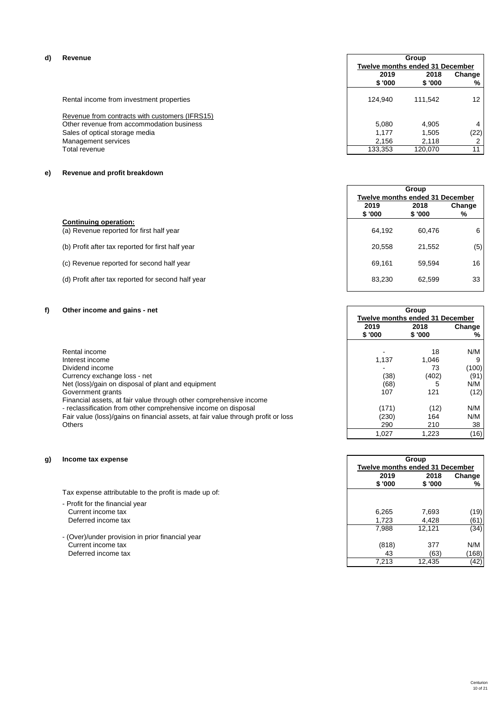# **d) Revenue**

| Revenue |                                                |                | <b>Group</b>                           |                 |  |  |
|---------|------------------------------------------------|----------------|----------------------------------------|-----------------|--|--|
|         |                                                |                | <b>Twelve months ended 31 December</b> |                 |  |  |
|         |                                                | 2019<br>\$'000 | 2018<br>\$ '000                        | Change<br>%     |  |  |
|         | Rental income from investment properties       | 124.940        | 111.542                                | 12 <sup>2</sup> |  |  |
|         | Revenue from contracts with customers (IFRS15) |                |                                        |                 |  |  |
|         | Other revenue from accommodation business      | 5.080          | 4.905                                  | 4               |  |  |
|         | Sales of optical storage media                 | 1.177          | 1.505                                  | (22)            |  |  |
|         | Management services                            | 2.156          | 2.118                                  |                 |  |  |
|         | Total revenue                                  | 133,353        | 120.070                                | 11 <sub>1</sub> |  |  |

# **e) Revenue and profit breakdown**

|                                                                          |                | Group<br>Twelve months ended 31 December |             |  |
|--------------------------------------------------------------------------|----------------|------------------------------------------|-------------|--|
|                                                                          | 2019<br>\$'000 | 2018<br>\$ '000                          | Change<br>% |  |
| <b>Continuing operation:</b><br>(a) Revenue reported for first half year | 64,192         | 60.476                                   | 6           |  |
| (b) Profit after tax reported for first half year                        | 20,558         | 21.552                                   | (5)         |  |
| (c) Revenue reported for second half year                                | 69.161         | 59.594                                   | 16          |  |

# (d) Profit after tax reported for second half year 83,230 62,599 33

# **f) Other income and gains - net**

| Rental income                                                                     |       | 18    | N/M   |
|-----------------------------------------------------------------------------------|-------|-------|-------|
| Interest income                                                                   | 1.137 | 1.046 | 9     |
| Dividend income                                                                   |       | 73    | (100) |
| Currency exchange loss - net                                                      | (38)  | (402) | (91)  |
| Net (loss)/gain on disposal of plant and equipment                                | (68)  |       | N/M   |
| Government grants                                                                 | 107   | 121   | (12)  |
| Financial assets, at fair value through other comprehensive income                |       |       |       |
| - reclassification from other comprehensive income on disposal                    | (171) | (12)  | N/M   |
| Fair value (loss)/gains on financial assets, at fair value through profit or loss | (230) | 164   | N/M   |
| <b>Others</b>                                                                     | 290   | 210   | 38    |

# **g) Income tax expense**

Tax expense attributable to the profit is made up of:

- Profit for the financial year Current income tax Deferred income tax
- (Over)/under provision in prior financial year Current income tax Deferred income tax

|                   |        | Group                                  |        |
|-------------------|--------|----------------------------------------|--------|
|                   |        | <b>Twelve months ended 31 December</b> |        |
|                   | 2019   | 2018                                   | Change |
|                   | \$'000 | \$'000                                 | %      |
|                   |        |                                        |        |
|                   |        | 18                                     | N/M    |
|                   | 1,137  | 1,046                                  | 9      |
|                   |        | 73                                     | (100)  |
|                   | (38)   | (402)                                  | (91)   |
|                   | (68)   | 5                                      | N/M    |
|                   | 107    | 121                                    | (12)   |
| ncome             |        |                                        |        |
| sal               | (171)  | (12)                                   | N/M    |
| ah profit or loss | (230)  | 164                                    | N/M    |
|                   | 290    | 210                                    | 38     |
|                   | 1,027  | 1,223                                  | (16)   |

| Group                                  |         |        |  |
|----------------------------------------|---------|--------|--|
| <b>Twelve months ended 31 December</b> |         |        |  |
| 2019                                   | 2018    | Change |  |
| \$ '000                                | \$ '000 | %      |  |
|                                        |         |        |  |
| 6,265                                  | 7,693   | (19)   |  |
| 1,723                                  | 4,428   | (61)   |  |
| 7,988                                  | 12,121  | (34)   |  |
|                                        |         |        |  |
| (818)                                  | 377     | N/M    |  |
| 43                                     | (63)    | (168)  |  |
| 7.213                                  | 12,435  |        |  |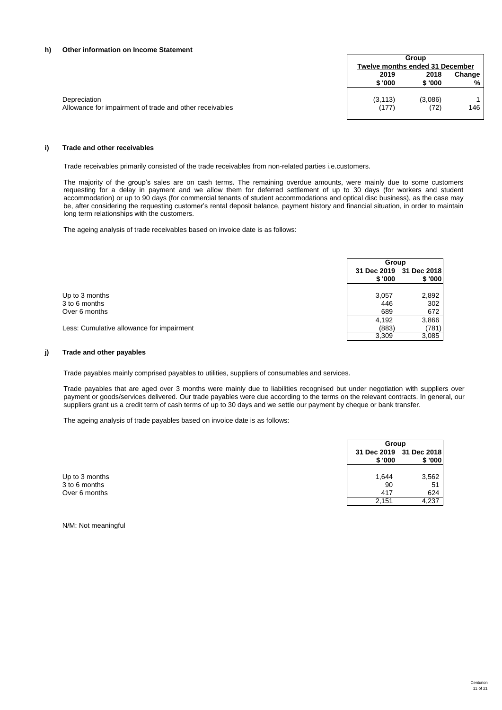# **h) Other information on Income Statement**

|                                                         |          | Group<br>Twelve months ended 31 December |        |  |
|---------------------------------------------------------|----------|------------------------------------------|--------|--|
|                                                         | 2019     | 2018                                     | Change |  |
|                                                         | \$'000   | \$ '000                                  | %      |  |
| Depreciation                                            | (3, 113) | (3,086)                                  | 146    |  |
| Allowance for impairment of trade and other receivables | (177)    | (72)                                     |        |  |

# **i) Trade and other receivables**

Trade receivables primarily consisted of the trade receivables from non-related parties i.e.customers.

The majority of the group's sales are on cash terms. The remaining overdue amounts, were mainly due to some customers requesting for a delay in payment and we allow them for deferred settlement of up to 30 days (for workers and student accommodation) or up to 90 days (for commercial tenants of student accommodations and optical disc business), as the case may be, after considering the requesting customer's rental deposit balance, payment history and financial situation, in order to maintain long term relationships with the customers.

The ageing analysis of trade receivables based on invoice date is as follows:

|                                           |        | Group                             |  |  |
|-------------------------------------------|--------|-----------------------------------|--|--|
|                                           | \$'000 | 31 Dec 2019 31 Dec 2018<br>\$'000 |  |  |
| Up to 3 months                            | 3,057  | 2,892                             |  |  |
| 3 to 6 months                             | 446    | 302                               |  |  |
| Over 6 months                             | 689    | 672                               |  |  |
|                                           | 4,192  | 3,866                             |  |  |
| Less: Cumulative allowance for impairment | (883)  | (781)                             |  |  |
|                                           | 3,309  | 3,085                             |  |  |

# **j) Trade and other payables**

Trade payables mainly comprised payables to utilities, suppliers of consumables and services.

Trade payables that are aged over 3 months were mainly due to liabilities recognised but under negotiation with suppliers over payment or goods/services delivered. Our trade payables were due according to the terms on the relevant contracts. In general, our suppliers grant us a credit term of cash terms of up to 30 days and we settle our payment by cheque or bank transfer.

The ageing analysis of trade payables based on invoice date is as follows:

|                |                                   | Group  |  |  |
|----------------|-----------------------------------|--------|--|--|
|                | 31 Dec 2019 31 Dec 2018<br>\$'000 | \$'000 |  |  |
| Up to 3 months | 1,644                             | 3,562  |  |  |
| 3 to 6 months  | 90                                | 51     |  |  |
| Over 6 months  | 417                               | 624    |  |  |
|                | 2,151                             | 4,237  |  |  |

N/M: Not meaningful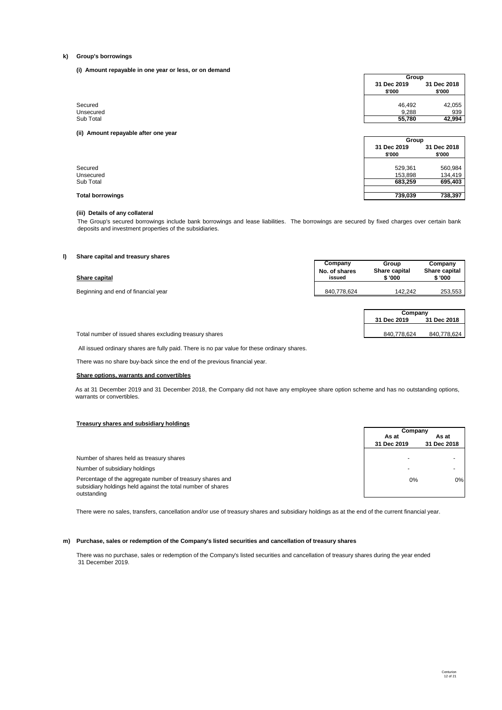#### **k) Group's borrowings**

**(i) Amount repayable in one year or less, or on demand**

|                                      | Group                      |         |  |
|--------------------------------------|----------------------------|---------|--|
|                                      | 31 Dec 2019<br>31 Dec 2018 |         |  |
|                                      | \$'000                     | \$'000  |  |
|                                      |                            |         |  |
| Secured                              | 46,492                     | 42,055  |  |
| Unsecured                            | 9,288                      | 939     |  |
| Sub Total                            | 55,780                     | 42,994  |  |
| (ii) Amount repayable after one year | Group                      |         |  |
|                                      | 31 Dec 2019<br>31 Dec 2018 |         |  |
|                                      | \$'000                     | \$'000  |  |
| Secured                              | 529,361                    | 560,984 |  |
| Unsecured                            | 153,898                    | 134,419 |  |
| Sub Total                            | 683,259                    | 695,403 |  |
|                                      |                            |         |  |

# **(iii) Details of any collateral**

The Group's secured borrowings include bank borrowings and lease liabilities. The borrowings are secured by fixed charges over certain bank deposits and investment properties of the subsidiaries.

# **l) Share capital and treasury shares**

| Share capital                       | Company<br>No. of shares<br>issued | Group<br>Share capital<br>\$ '000 | Company<br>Share capital<br>\$ '000 |
|-------------------------------------|------------------------------------|-----------------------------------|-------------------------------------|
| Beginning and end of financial year | 840.778.624                        | 142.242                           | 253.553                             |

| Company     |             |  |
|-------------|-------------|--|
| 31 Dec 2019 | 31 Dec 2018 |  |
|             |             |  |
| 840,778,624 | 840,778,624 |  |

Total number of issued shares excluding treasury shares

All issued ordinary shares are fully paid. There is no par value for these ordinary shares.

There was no share buy-back since the end of the previous financial year.

# **Share options, warrants and convertibles**

As at 31 December 2019 and 31 December 2018, the Company did not have any employee share option scheme and has no outstanding options, warrants or convertibles.

# **Treasury shares and subsidiary holdings**

| Number of shares held as treasury shares                                                                                 |       |  |
|--------------------------------------------------------------------------------------------------------------------------|-------|--|
| Number of subsidiary holdings                                                                                            |       |  |
| Percentage of the aggregate number of treasury shares and<br>subsidiary holdings held against the total number of shares | $0\%$ |  |
| outstanding                                                                                                              |       |  |

| Company     |             |  |  |
|-------------|-------------|--|--|
| As at       | As at       |  |  |
| 31 Dec 2019 | 31 Dec 2018 |  |  |
|             |             |  |  |
|             |             |  |  |
|             |             |  |  |
|             |             |  |  |
| $0\%$       | 0%          |  |  |
|             |             |  |  |
|             |             |  |  |

There were no sales, transfers, cancellation and/or use of treasury shares and subsidiary holdings as at the end of the current financial year.

# **m) Purchase, sales or redemption of the Company's listed securities and cancellation of treasury shares**

There was no purchase, sales or redemption of the Company's listed securities and cancellation of treasury shares during the year ended 31 December 2019.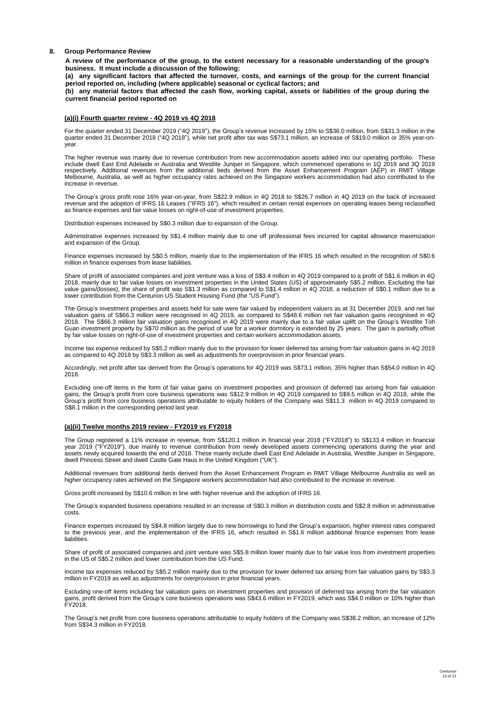#### **8. Group Performance Review**

A review of the performance of the group, to the extent necessary for a reasonable understanding of the group's **business. It must include a discussion of the following:**

(a) any significant factors that affected the turnover, costs, and earnings of the group for the current financial **period reported on, including (where applicable) seasonal or cyclical factors; and**

(b) any material factors that affected the cash flow, working capital, assets or liabilities of the group during the **current financial period reported on**

# **(a)(i) Fourth quarter review - 4Q 2019 vs 4Q 2018**

For the quarter ended 31 December 2019 ("4Q 2019"), the Group's revenue increased by 15% to S\$36.0 million, from S\$31.3 million in the<br>quarter ended 31 December 2018 ("4Q 2018"), while net profit after tax was S\$73.1 milli year.

The higher revenue was mainly due to revenue contribution from new accommodation assets added into our operating portfolio. These include dwell East End Adelaide in Australia and Westlite Juniper in Singapore, which commenced operations in 1Q 2019 and 3Q 2019<br>respectively. Additional revenues from the additional beds derived from the Asset Enhancemen Melbourne, Australia, as well as higher occupancy rates achieved on the Singapore workers accommodation had also contributed to the increase in revenue.

The Group's gross profit rose 16% year-on-year, from S\$22.9 million in 4Q 2018 to S\$26.7 million in 4Q 2019 on the back of increased<br>revenue and the adoption of IFRS 16 Leases ("IFRS 16"), which resulted in certain rental as finance expenses and fair value losses on right-of-use of investment properties.

Distribution expenses increased by S\$0.3 million due to expansion of the Group.

Administrative expenses increased by S\$1.4 million mainly due to one off professional fees incurred for capital allowance maximization and expansion of the Group.

Finance expenses increased by S\$0.5 million, mainly due to the implementation of the IFRS 16 which resulted in the recognition of S\$0.6 million in finance expenses from lease liabilities.

Share of profit of associated companies and joint venture was a loss of S\$3.4 million in 4Q 2019 compared to a profit of S\$1.6 million in 4Q<br>2018, mainly due to fair value losses on investment properties in the United Stat value gains/(losses), the share of profit was S\$1.3 million as compared to S\$1.4 million in 4Q 2018, a reduction of S\$0.1 million due to a lower contribution from the Centurion US Student Housing Fund (the "US Fund").

The Group's investment properties and assets held for sale were fair valued by independent valuers as at 31 December 2019, and net fair<br>valuation gains of S\$66.3 million were recognised in 4Q 2019, as compared to S\$48.6 mi 2018. The S\$66.3 million fair valuation gains recognised in 4Q 2019 were mainly due to a fair value uplift on the Group's Westlite Toh Guan investment property by S\$70 million as the period of use for a worker dormitory is extended by 25 years. The gain is partially offset by fair value losses on right-of-use of investment properties and certain workers accommodation assets.

Income tax expense reduced by S\$5.2 million mainly due to the provision for lower deferred tax arising from fair valuation gains in 4Q 2019 as compared to 4Q 2018 by S\$3.3 million as well as adjustments for overprovision in prior financial years.

Accordingly, net profit after tax derived from the Group's operations for 4Q 2019 was S\$73.1 million, 35% higher than S\$54.0 million in 4Q 2018.

Excluding one-off items in the form of fair value gains on investment properties and provision of deferred tax arising from fair valuation gains, the Group's profit from core business operations was S\$12.9 million in 4Q 2019 compared to S\$9.5 million in 4Q 2018, while the<br>Group's profit from core business operations attributable to equity holders of the Compa S\$8.1 million in the corresponding period last year.

#### **(a)(ii) Twelve months 2019 review - FY2019 vs FY2018**

The Group registered a 11% increase in revenue, from S\$120.1 million in financial year 2018 ("FY2018") to S\$133.4 million in financial year 2019 ("FY2019"), due mainly to revenue contribution from newly developed assets commencing operations during the year and assets newly acquired towards the end of 2018. These mainly include dwell East End Adelaide in Australia, Westlite Juniper in Singapore, dwell Princess Street and dwell Castle Gate Haus in the United Kingdom ("UK").

Additional revenues from additional beds derived from the Asset Enhancement Program in RMIT Village Melbourne Australia as well as higher occupancy rates achieved on the Singapore workers accommodation had also contributed to the increase in revenue.

Gross profit increased by S\$10.6 million in line with higher revenue and the adoption of IFRS 16.

The Group's expanded business operations resulted in an increase of S\$0.3 million in distribution costs and S\$2.8 million in administrative costs.

Finance expenses increased by S\$4.8 million largely due to new borrowings to fund the Group's expansion, higher interest rates compared to the previous year, and the implementation of the IFRS 16, which resulted in S\$1.6 million additional finance expenses from lease liabilitie

Share of profit of associated companies and joint venture was S\$5.8 million lower mainly due to fair value loss from investment properties in the US of S\$5.2 million and lower contribution from the US Fund.

Income tax expenses reduced by S\$5.2 million mainly due to the provision for lower deferred tax arising from fair valuation gains by S\$3.3 million in FY2019 as well as adjustments for overprovision in prior financial years.

Excluding one-off items including fair valuation gains on investment properties and provision of deferred tax arising from the fair valuation gains, profit derived from the Group's core business operations was S\$43.6 million in FY2019, which was S\$4.0 million or 10% higher than FY2018.

The Group's net profit from core business operations attributable to equity holders of the Company was S\$38.2 million, an increase of 12% from S\$34.3 million in FY2018.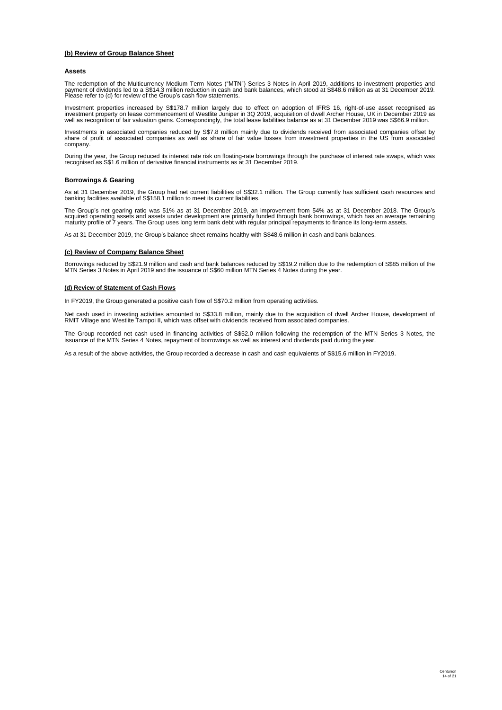# **(b) Review of Group Balance Sheet**

#### **Assets**

The redemption of the Multicurrency Medium Term Notes ("MTN") Series 3 Notes in April 2019, additions to investment properties and<br>payment of dividends led to a S\$14.3 million reduction in cash and bank balances, which sto

Investment properties increased by S\$178.7 million largely due to effect on adoption of IFRS 16, right-of-use asset recognised as<br>investment property on lease commencement of Westlite Juniper in 3Q 2019, acquisition of dwe

Investments in associated companies reduced by S\$7.8 million mainly due to dividends received from associated companies offset by<br>share of profit of associated companies as well as share of fair value losses from investmen

During the year, the Group reduced its interest rate risk on floating-rate borrowings through the purchase of interest rate swaps, which was recognised as S\$1.6 million of derivative financial instruments as at 31 December 2019.

# **Borrowings & Gearing**

As at 31 December 2019, the Group had net current liabilities of S\$32.1 million. The Group currently has sufficient cash resources and banking facilities available of S\$158.1 million to meet its current liabilities.

The Group's net gearing ratio was 51% as at 31 December 2019, an improvement from 54% as at 31 December 2018. The Group's<br>acquired operating assets and assets under development are primarily funded through bank borrowings,

As at 31 December 2019, the Group's balance sheet remains healthy with S\$48.6 million in cash and bank balances.

#### **(c) Review of Company Balance Sheet**

Borrowings reduced by S\$21.9 million and cash and bank balances reduced by S\$19.2 million due to the redemption of S\$85 million of the<br>MTN Series 3 Notes in April 2019 and the issuance of S\$60 million MTN Series 4 Notes du

#### **(d) Review of Statement of Cash Flows**

In FY2019, the Group generated a positive cash flow of S\$70.2 million from operating activities.

Net cash used in investing activities amounted to S\$33.8 million, mainly due to the acquisition of dwell Archer House, development of RMIT Village and Westlite Tampoi II, which was offset with dividends received from associated companies.

The Group recorded net cash used in financing activities of S\$52.0 million following the redemption of the MTN Series 3 Notes, the issuance of the MTN Series 4 Notes, repayment of borrowings as well as interest and dividends paid during the year.

As a result of the above activities, the Group recorded a decrease in cash and cash equivalents of S\$15.6 million in FY2019.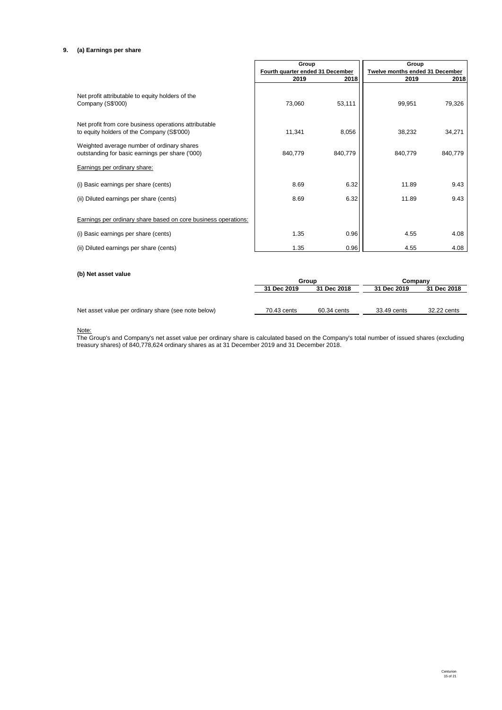# **9. (a) Earnings per share**

|                                                                                                     | Group                            |         | Group                           |         |
|-----------------------------------------------------------------------------------------------------|----------------------------------|---------|---------------------------------|---------|
|                                                                                                     | Fourth quarter ended 31 December |         | Twelve months ended 31 December |         |
|                                                                                                     | 2019                             | 2018    | 2019                            | 2018    |
| Net profit attributable to equity holders of the<br>Company (S\$'000)                               | 73,060                           | 53,111  | 99,951                          | 79,326  |
| Net profit from core business operations attributable<br>to equity holders of the Company (S\$'000) | 11,341                           | 8,056   | 38,232                          | 34,271  |
| Weighted average number of ordinary shares<br>outstanding for basic earnings per share ('000)       | 840,779                          | 840,779 | 840,779                         | 840,779 |
| <b>Earnings per ordinary share:</b>                                                                 |                                  |         |                                 |         |
| (i) Basic earnings per share (cents)                                                                | 8.69                             | 6.32    | 11.89                           | 9.43    |
| (ii) Diluted earnings per share (cents)                                                             | 8.69                             | 6.32    | 11.89                           | 9.43    |
| <b>Earnings per ordinary share based on core business operations:</b>                               |                                  |         |                                 |         |
| (i) Basic earnings per share (cents)                                                                | 1.35                             | 0.96    | 4.55                            | 4.08    |
| (ii) Diluted earnings per share (cents)                                                             | 1.35                             | 0.96    | 4.55                            | 4.08    |
|                                                                                                     |                                  |         |                                 |         |

# **(b) Net asset value**

|                                                     | Group       |             | Company     |             |
|-----------------------------------------------------|-------------|-------------|-------------|-------------|
|                                                     | 31 Dec 2019 | 31 Dec 2018 | 31 Dec 2019 | 31 Dec 2018 |
|                                                     |             |             |             |             |
|                                                     |             |             |             |             |
| Net asset value per ordinary share (see note below) | 70.43 cents | 60.34 cents | 33.49 cents | 32.22 cents |
|                                                     |             |             |             |             |

# Note:

The Group's and Company's net asset value per ordinary share is calculated based on the Company's total number of issued shares (excluding treasury shares) of 840,778,624 ordinary shares as at 31 December 2019 and 31 December 2018.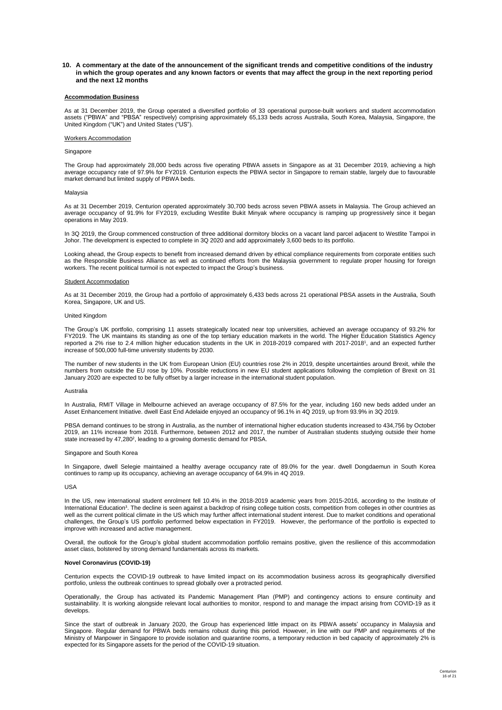10. A commentary at the date of the announcement of the significant trends and competitive conditions of the industry in which the group operates and any known factors or events that may affect the group in the next reporting period **and the next 12 months**

#### **Accommodation Business**

As at 31 December 2019, the Group operated a diversified portfolio of 33 operational purpose-built workers and student accommodation assets ("PBWA" and "PBSA" respectively) comprising approximately 65,133 beds across Australia, South Korea, Malaysia, Singapore, the United Kingdom ("UK") and United States ("US").

#### Workers Accommodation

#### Singapore

The Group had approximately 28,000 beds across five operating PBWA assets in Singapore as at 31 December 2019, achieving a high average occupancy rate of 97.9% for FY2019. Centurion expects the PBWA sector in Singapore to remain stable, largely due to favourable market demand but limited supply of PBWA beds.

#### Malaysia

As at 31 December 2019, Centurion operated approximately 30,700 beds across seven PBWA assets in Malaysia. The Group achieved an average occupancy of 91.9% for FY2019, excluding Westlite Bukit Minyak where occupancy is ramping up progressively since it began operations in May 2019.

In 3Q 2019, the Group commenced construction of three additional dormitory blocks on a vacant land parcel adjacent to Westlite Tampoi in Johor. The development is expected to complete in 3Q 2020 and add approximately 3,600 beds to its portfolio.

Looking ahead, the Group expects to benefit from increased demand driven by ethical compliance requirements from corporate entities such as the Responsible Business Alliance as well as continued efforts from the Malaysia government to regulate proper housing for foreign workers. The recent political turmoil is not expected to impact the Group's business.

#### Student Accommodation

As at 31 December 2019, the Group had a portfolio of approximately 6,433 beds across 21 operational PBSA assets in the Australia, South Korea, Singapore, UK and US.

#### United Kingdom

The Group's UK portfolio, comprising 11 assets strategically located near top universities, achieved an average occupancy of 93.2% for FY2019. The UK maintains its standing as one of the top tertiary education markets in the world. The Higher Education Statistics Agency reported a 2% rise to 2.4 million higher education students in the UK in 2018-2019 compared with 2017-2018<sup>1</sup>, and an expected further increase of 500,000 full-time university students by 2030.

The number of new students in the UK from European Union (EU) countries rose 2% in 2019, despite uncertainties around Brexit, while the numbers from outside the EU rose by 10%. Possible reductions in new EU student applications following the completion of Brexit on 31 January 2020 are expected to be fully offset by a larger increase in the international student population.

#### Australia

In Australia, RMIT Village in Melbourne achieved an average occupancy of 87.5% for the year, including 160 new beds added under an Asset Enhancement Initiative. dwell East End Adelaide enjoyed an occupancy of 96.1% in 4Q 2019, up from 93.9% in 3Q 2019.

PBSA demand continues to be strong in Australia, as the number of international higher education students increased to 434,756 by October 2019, an 11% increase from 2018. Furthermore, between 2012 and 2017, the number of Australian students studying outside their home state increased by 47,280<sup>2</sup>, leading to a growing domestic demand for PBSA.

#### Singapore and South Korea

In Singapore, dwell Selegie maintained a healthy average occupancy rate of 89.0% for the year. dwell Dongdaemun in South Korea continues to ramp up its occupancy, achieving an average occupancy of 64.9% in 4Q 2019.

#### $IISA$

In the US, new international student enrolment fell 10.4% in the 2018-2019 academic years from 2015-2016, according to the Institute of International Education<sup>3</sup>. The decline is seen against a backdrop of rising college tuition costs, competition from colleges in other countries as well as the current political climate in the US which may further affect international student interest. Due to market conditions and operational challenges, the Group's US portfolio performed below expectation in FY2019. However, the performance of the portfolio is expected to improve with increased and active management.

Overall, the outlook for the Group's global student accommodation portfolio remains positive, given the resilience of this accommodation asset class, bolstered by strong demand fundamentals across its markets.

#### **Novel Coronavirus (COVID-19)**

Centurion expects the COVID-19 outbreak to have limited impact on its accommodation business across its geographically diversified portfolio, unless the outbreak continues to spread globally over a protracted period.

Operationally, the Group has activated its Pandemic Management Plan (PMP) and contingency actions to ensure continuity and sustainability. It is working alongside relevant local authorities to monitor, respond to and manage the impact arising from COVID-19 as it develops.

Since the start of outbreak in January 2020, the Group has experienced little impact on its PBWA assets' occupancy in Malaysia and Singapore. Regular demand for PBWA beds remains robust during this period. However, in line with our PMP and requirements of the Ministry of Manpower in Singapore to provide isolation and quarantine rooms, a temporary reduction in bed capacity of approximately 2% is expected for its Singapore assets for the period of the COVID-19 situation.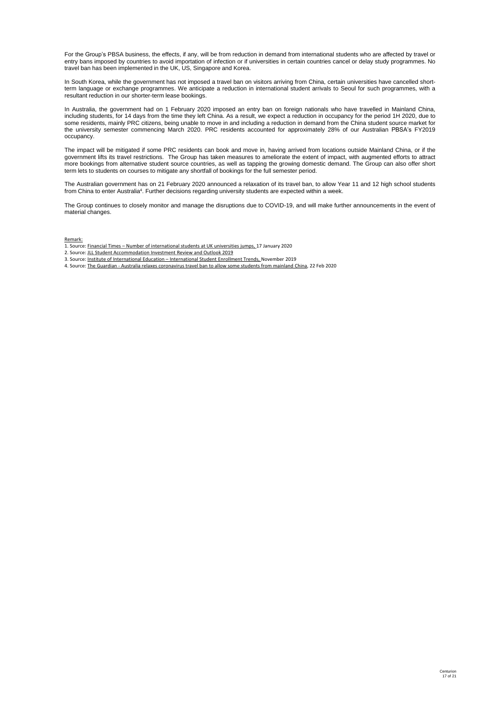For the Group's PBSA business, the effects, if any, will be from reduction in demand from international students who are affected by travel or entry bans imposed by countries to avoid importation of infection or if universities in certain countries cancel or delay study programmes. No travel ban has been implemented in the UK, US, Singapore and Korea.

In South Korea, while the government has not imposed a travel ban on visitors arriving from China, certain universities have cancelled shortterm language or exchange programmes. We anticipate a reduction in international student arrivals to Seoul for such programmes, with a resultant reduction in our shorter-term lease bookings.

In Australia, the government had on 1 February 2020 imposed an entry ban on foreign nationals who have travelled in Mainland China, including students, for 14 days from the time they left China. As a result, we expect a reduction in occupancy for the period 1H 2020, due to some residents, mainly PRC citizens, being unable to move in and including a reduction in demand from the China student source market for the university semester commencing March 2020. PRC residents accounted for approximately 28% of our Australian PBSA's FY2019 occupancy.

The impact will be mitigated if some PRC residents can book and move in, having arrived from locations outside Mainland China, or if the government lifts its travel restrictions. The Group has taken measures to ameliorate the extent of impact, with augmented efforts to attract more bookings from alternative student source countries, as well as tapping the growing domestic demand. The Group can also offer short term lets to students on courses to mitigate any shortfall of bookings for the full semester period.

The Australian government has on 21 February 2020 announced a relaxation of its travel ban, to allow Year 11 and 12 high school students from China to enter Australia<sup>4</sup>. Further decisions regarding university students are expected within a week.

The Group continues to closely monitor and manage the disruptions due to COVID-19, and will make further announcements in the event of material changes.

### Remark:

- 1. Source: Financial Times Number of international students at UK universities jumps, 17 January 2020
- 2. Source: JLL Student Accommodation Investment Review and Outlook 2019
- 3. Source: Institute of International Education International Student Enrollment Trends, November 2019
- 4. Source: The Guardian Australia relaxes coronavirus travel ban to allow some students from mainland China, 22 Feb 2020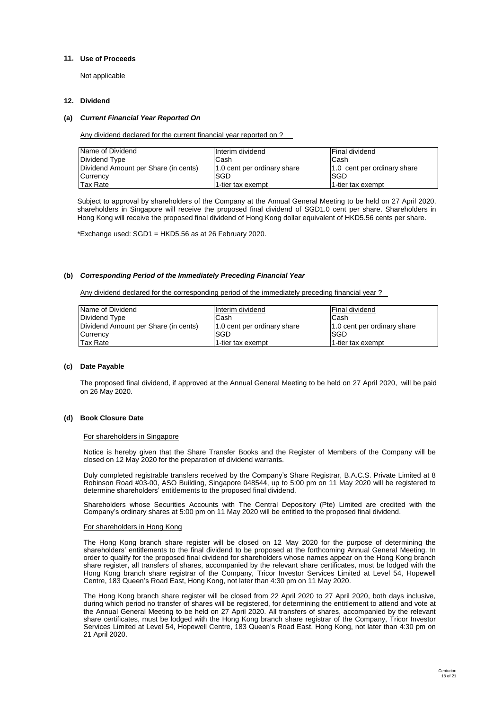# **11. Use of Proceeds**

Not applicable

#### **12. Dividend**  $\mathsf D$ ividend 36,000,000 offer shares pursuant to the dual primary listing in Hong shares pursuant to the dual primary listing in Hong shares pursuant to the dual primary listing in Hong shares pursuant to the dual primary

# **(a)** *Current Financial Year Reported On*

Any dividend declared for the current financial year reported on ?

| Name of Dividend                     | Interim dividend            | lFinal dividend             |
|--------------------------------------|-----------------------------|-----------------------------|
| Dividend Type                        | Cash                        | Cash                        |
| Dividend Amount per Share (in cents) | 1.0 cent per ordinary share | 1.0 cent per ordinary share |
| Currency                             | ISGD                        | ISGD                        |
| <b>Tax Rate</b>                      | 1-tier tax exempt           | 11-tier tax exempt          |

Subject to approval by shareholders of the Company at the Annual General Meeting to be held on 27 April 2020, shareholders in Singapore will receive the proposed final dividend of SGD1.0 cent per share. Shareholders in Hong Kong will receive the proposed final dividend of Hong Kong dollar equivalent of HKD5.56 cents per share.

\*Exchange used: SGD1 = HKD5.56 as at 26 February 2020.

# **(b)** *Corresponding Period of the Immediately Preceding Financial Year*

Any dividend declared for the corresponding period of the immediately preceding financial year ?

| Name of Dividend                     | Interim dividend            | lFinal dividend             |
|--------------------------------------|-----------------------------|-----------------------------|
| Dividend Type                        | Cash                        | Cash                        |
| Dividend Amount per Share (in cents) | 1.0 cent per ordinary share | 1.0 cent per ordinary share |
| Currency                             | <b>SGD</b>                  | ISGD                        |
| <b>Tax Rate</b>                      | 1-tier tax exempt           | 1-tier tax exempt           |

# **(c) Date Payable**

The proposed final dividend, if approved at the Annual General Meeting to be held on 27 April 2020, will be paid on 26 May 2020.

# **(d) Book Closure Date**

# For shareholders in Singapore

Notice is hereby given that the Share Transfer Books and the Register of Members of the Company will be closed on 12 May 2020 for the preparation of dividend warrants.

Duly completed registrable transfers received by the Company's Share Registrar, B.A.C.S. Private Limited at 8 Robinson Road #03-00, ASO Building, Singapore 048544, up to 5:00 pm on 11 May 2020 will be registered to determine shareholders' entitlements to the proposed final dividend.

Shareholders whose Securities Accounts with The Central Depository (Pte) Limited are credited with the Company's ordinary shares at 5:00 pm on 11 May 2020 will be entitled to the proposed final dividend.

# For shareholders in Hong Kong

The Hong Kong branch share register will be closed on 12 May 2020 for the purpose of determining the shareholders' entitlements to the final dividend to be proposed at the forthcoming Annual General Meeting. In order to qualify for the proposed final dividend for shareholders whose names appear on the Hong Kong branch share register, all transfers of shares, accompanied by the relevant share certificates, must be lodged with the Hong Kong branch share registrar of the Company, Tricor Investor Services Limited at Level 54, Hopewell Centre, 183 Queen's Road East, Hong Kong, not later than 4:30 pm on 11 May 2020.

The Hong Kong branch share register will be closed from 22 April 2020 to 27 April 2020, both days inclusive, during which period no transfer of shares will be registered, for determining the entitlement to attend and vote at the Annual General Meeting to be held on 27 April 2020. All transfers of shares, accompanied by the relevant share certificates, must be lodged with the Hong Kong branch share registrar of the Company, Tricor Investor Services Limited at Level 54, Hopewell Centre, 183 Queen's Road East, Hong Kong, not later than 4:30 pm on 21 April 2020.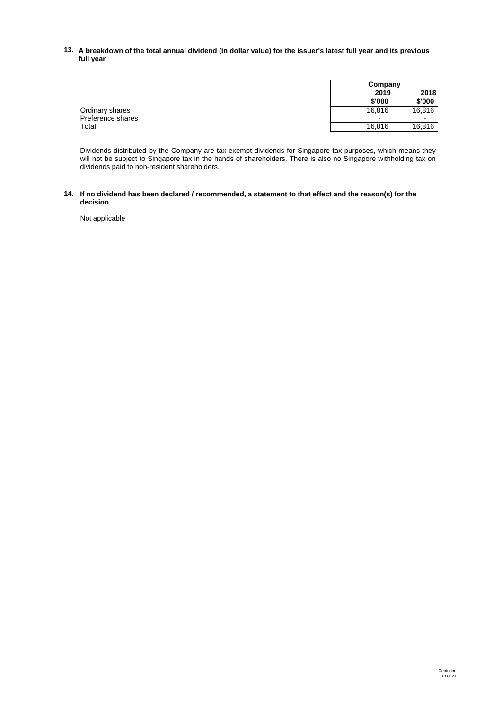# **13. A breakdown of the total annual dividend (in dollar value) for the issuer's latest full year and its previous full year**

|                   | Company                                              |  |
|-------------------|------------------------------------------------------|--|
|                   | 2018<br>2019                                         |  |
|                   | \$'000<br>\$'000                                     |  |
| Ordinary shares   | 16,816<br>16,816                                     |  |
| Preference shares | $\overline{\phantom{0}}$<br>$\overline{\phantom{0}}$ |  |
| Total             | 16,816<br>16,816                                     |  |

Dividends distributed by the Company are tax exempt dividends for Singapore tax purposes, which means they will not be subject to Singapore tax in the hands of shareholders. There is also no Singapore withholding tax on dividends paid to non-resident shareholders.

### **14. If no dividend has been declared / recommended, a statement to that effect and the reason(s) for the decision**

Not applicable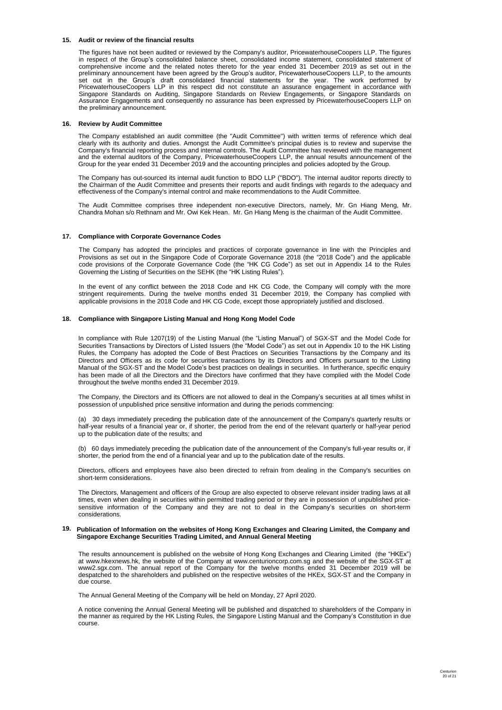#### **15. Audit or review of the financial results**

The figures have not been audited or reviewed by the Company's auditor, PricewaterhouseCoopers LLP. The figures in respect of the Group's consolidated balance sheet, consolidated income statement, consolidated statement of comprehensive income and the related notes thereto for the year ended 31 December 2019 as set out in the preliminary announcement have been agreed by the Group's auditor, PricewaterhouseCoopers LLP, to the amounts set out in the Group's draft consolidated financial statements for the year. The work performed by PricewaterhouseCoopers LLP in this respect did not constitute an assurance engagement in accordance with Singapore Standards on Auditing, Singapore Standards on Review Engagements, or Singapore Standards on Assurance Engagements and consequently no assurance has been expressed by PricewaterhouseCoopers LLP on the preliminary announcement.

#### **16. Review by Audit Committee**

The Company established an audit committee (the "Audit Committee") with written terms of reference which deal clearly with its authority and duties. Amongst the Audit Committee's principal duties is to review and supervise the Company's financial reporting process and internal controls. The Audit Committee has reviewed with the management and the external auditors of the Company, PricewaterhouseCoopers LLP, the annual results announcement of the Group for the year ended 31 December 2019 and the accounting principles and policies adopted by the Group.

The Company has out-sourced its internal audit function to BDO LLP ("BDO"). The internal auditor reports directly to the Chairman of the Audit Committee and presents their reports and audit findings with regards to the adequacy and effectiveness of the Company's internal control and make recommendations to the Audit Committee.

The Audit Committee comprises three independent non-executive Directors, namely, Mr. Gn Hiang Meng, Mr. Chandra Mohan s/o Rethnam and Mr. Owi Kek Hean. Mr. Gn Hiang Meng is the chairman of the Audit Committee.

### **17. Compliance with Corporate Governance Codes**

The Company has adopted the principles and practices of corporate governance in line with the Principles and Provisions as set out in the Singapore Code of Corporate Governance 2018 (the "2018 Code") and the applicable code provisions of the Corporate Governance Code (the "HK CG Code") as set out in Appendix 14 to the Rules Governing the Listing of Securities on the SEHK (the "HK Listing Rules").

In the event of any conflict between the 2018 Code and HK CG Code, the Company will comply with the more stringent requirements. During the twelve months ended 31 December 2019, the Company has complied with applicable provisions in the 2018 Code and HK CG Code, except those appropriately justified and disclosed.

### **18. Compliance with Singapore Listing Manual and Hong Kong Model Code**

In compliance with Rule 1207(19) of the Listing Manual (the "Listing Manual") of SGX-ST and the Model Code for Securities Transactions by Directors of Listed Issuers (the "Model Code") as set out in Appendix 10 to the HK Listing Rules, the Company has adopted the Code of Best Practices on Securities Transactions by the Company and its Directors and Officers as its code for securities transactions by its Directors and Officers pursuant to the Listing Manual of the SGX-ST and the Model Code's best practices on dealings in securities. In furtherance, specific enquiry has been made of all the Directors and the Directors have confirmed that they have complied with the Model Code throughout the twelve months ended 31 December 2019.

The Company, the Directors and its Officers are not allowed to deal in the Company's securities at all times whilst in possession of unpublished price sensitive information and during the periods commencing:

(a) 30 days immediately preceding the publication date of the announcement of the Company's quarterly results or half-year results of a financial year or, if shorter, the period from the end of the relevant quarterly or half-year period up to the publication date of the results; and

(b) 60 days immediately preceding the publication date of the announcement of the Company's full-year results or, if shorter, the period from the end of a financial year and up to the publication date of the results.

Directors, officers and employees have also been directed to refrain from dealing in the Company's securities on short-term considerations.

The Directors, Management and officers of the Group are also expected to observe relevant insider trading laws at all times, even when dealing in securities within permitted trading period or they are in possession of unpublished pricesensitive information of the Company and they are not to deal in the Company's securities on short-term considerations.

#### 19. Publication of Information on the websites of Hong Kong Exchanges and Clearing Limited, the Company and **Singapore Exchange Securities Trading Limited, and Annual General Meeting**

The results announcement is published on the website of Hong Kong Exchanges and Clearing Limited (the "HKEx") at www.hkexnews.hk, the website of the Company at www.centurioncorp.com.sg and the website of the SGX-ST at www2.sgx.com. The annual report of the Company for the twelve months ended 31 December 2019 will be despatched to the shareholders and published on the respective websites of the HKEx, SGX-ST and the Company in due course.

The Annual General Meeting of the Company will be held on Monday, 27 April 2020.

A notice convening the Annual General Meeting will be published and dispatched to shareholders of the Company in the manner as required by the HK Listing Rules, the Singapore Listing Manual and the Company's Constitution in due course.